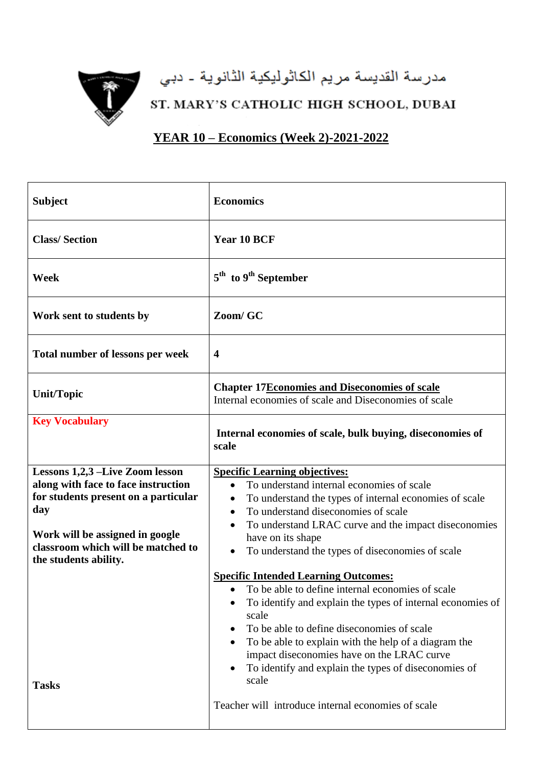

مدرسة القديسة مريم الكاثوليكية الثانوية - دبي

ST. MARY'S CATHOLIC HIGH SCHOOL, DUBAI

**YEAR 10 – Economics (Week 2)-2021-2022**

| <b>Subject</b>                                                                                                                                                                                                          | <b>Economics</b>                                                                                                                                                                                                                                                                                                                                                                                                                                                                          |
|-------------------------------------------------------------------------------------------------------------------------------------------------------------------------------------------------------------------------|-------------------------------------------------------------------------------------------------------------------------------------------------------------------------------------------------------------------------------------------------------------------------------------------------------------------------------------------------------------------------------------------------------------------------------------------------------------------------------------------|
| <b>Class/Section</b>                                                                                                                                                                                                    | Year 10 BCF                                                                                                                                                                                                                                                                                                                                                                                                                                                                               |
| Week                                                                                                                                                                                                                    | $5th$ to $9th$ September                                                                                                                                                                                                                                                                                                                                                                                                                                                                  |
| Work sent to students by                                                                                                                                                                                                | Zoom/ GC                                                                                                                                                                                                                                                                                                                                                                                                                                                                                  |
| Total number of lessons per week                                                                                                                                                                                        | $\overline{\mathbf{4}}$                                                                                                                                                                                                                                                                                                                                                                                                                                                                   |
| <b>Unit/Topic</b>                                                                                                                                                                                                       | <b>Chapter 17Economies and Diseconomies of scale</b><br>Internal economies of scale and Diseconomies of scale                                                                                                                                                                                                                                                                                                                                                                             |
| <b>Key Vocabulary</b>                                                                                                                                                                                                   | Internal economies of scale, bulk buying, diseconomies of<br>scale                                                                                                                                                                                                                                                                                                                                                                                                                        |
| Lessons 1,2,3 -Live Zoom lesson<br>along with face to face instruction<br>for students present on a particular<br>day<br>Work will be assigned in google<br>classroom which will be matched to<br>the students ability. | <b>Specific Learning objectives:</b><br>To understand internal economies of scale<br>$\bullet$<br>To understand the types of internal economies of scale<br>$\bullet$<br>To understand diseconomies of scale<br>$\bullet$<br>To understand LRAC curve and the impact diseconomies<br>$\bullet$<br>have on its shape<br>To understand the types of diseconomies of scale<br>$\bullet$<br><b>Specific Intended Learning Outcomes:</b><br>• To be able to define internal economies of scale |
| <b>Tasks</b>                                                                                                                                                                                                            | To identify and explain the types of internal economies of<br>scale<br>To be able to define diseconomies of scale<br>To be able to explain with the help of a diagram the<br>impact diseconomies have on the LRAC curve<br>To identify and explain the types of diseconomies of<br>scale<br>Teacher will introduce internal economies of scale                                                                                                                                            |